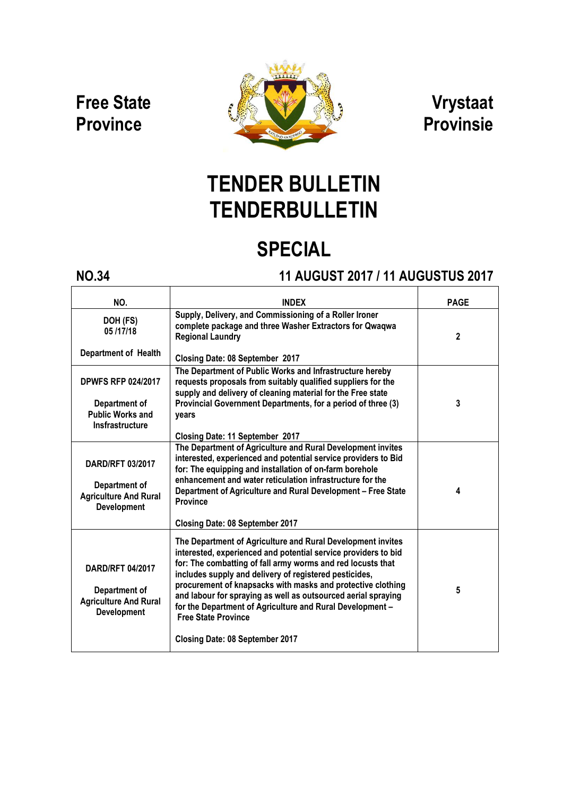### Free State **Province**



### Vrystaat Provinsie

# TENDER BULLETIN **TENDERBULLETIN**

## SPECIAL

### NO.34 11 AUGUST 2017 / 11 AUGUSTUS 2017

| NO.                                                                                            | <b>INDFX</b>                                                                                                                                                                                                                                                                                                                                                                                                                                                                                                                | <b>PAGE</b>  |
|------------------------------------------------------------------------------------------------|-----------------------------------------------------------------------------------------------------------------------------------------------------------------------------------------------------------------------------------------------------------------------------------------------------------------------------------------------------------------------------------------------------------------------------------------------------------------------------------------------------------------------------|--------------|
| DOH (FS)<br>05/17/18                                                                           | Supply, Delivery, and Commissioning of a Roller Ironer<br>complete package and three Washer Extractors for Qwaqwa<br><b>Regional Laundry</b>                                                                                                                                                                                                                                                                                                                                                                                | $\mathbf{2}$ |
| <b>Department of Health</b>                                                                    | <b>Closing Date: 08 September 2017</b>                                                                                                                                                                                                                                                                                                                                                                                                                                                                                      |              |
| <b>DPWFS RFP 024/2017</b><br>Department of<br><b>Public Works and</b><br>Insfrastructure       | The Department of Public Works and Infrastructure hereby<br>requests proposals from suitably qualified suppliers for the<br>supply and delivery of cleaning material for the Free state<br>Provincial Government Departments, for a period of three (3)<br>years<br>Closing Date: 11 September 2017                                                                                                                                                                                                                         | 3            |
| <b>DARD/RFT 03/2017</b><br>Department of<br><b>Agriculture And Rural</b><br><b>Development</b> | The Department of Agriculture and Rural Development invites<br>interested, experienced and potential service providers to Bid<br>for: The equipping and installation of on-farm borehole<br>enhancement and water reticulation infrastructure for the<br>Department of Agriculture and Rural Development - Free State<br><b>Province</b><br><b>Closing Date: 08 September 2017</b>                                                                                                                                          | 4            |
| <b>DARD/RFT 04/2017</b><br>Department of<br><b>Agriculture And Rural</b><br><b>Development</b> | The Department of Agriculture and Rural Development invites<br>interested, experienced and potential service providers to bid<br>for: The combatting of fall army worms and red locusts that<br>includes supply and delivery of registered pesticides,<br>procurement of knapsacks with masks and protective clothing<br>and labour for spraying as well as outsourced aerial spraying<br>for the Department of Agriculture and Rural Development -<br><b>Free State Province</b><br><b>Closing Date: 08 September 2017</b> | 5            |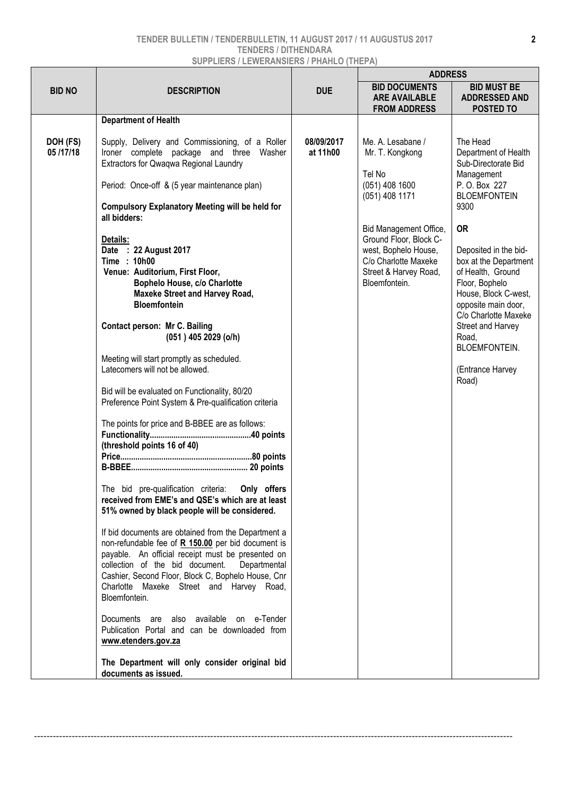### TENDER BULLETIN / TENDERBULLETIN, 11 AUGUST 2017 / 11 AUGUSTUS 2017 TENDERS / DITHENDARA SUPPLIERS / LEWERANSIERS / PHAHLO (THEPA)

|                      |                                                                                                                                                                                                                                                                                                                                                                                                                                                                                                                                                                                                                                                                                                                                                                                                   |                        | <b>ADDRESS</b>                                                                                                                                                                                                                     |                                                                                                                                                                                                                                                                                                                                                                                |  |
|----------------------|---------------------------------------------------------------------------------------------------------------------------------------------------------------------------------------------------------------------------------------------------------------------------------------------------------------------------------------------------------------------------------------------------------------------------------------------------------------------------------------------------------------------------------------------------------------------------------------------------------------------------------------------------------------------------------------------------------------------------------------------------------------------------------------------------|------------------------|------------------------------------------------------------------------------------------------------------------------------------------------------------------------------------------------------------------------------------|--------------------------------------------------------------------------------------------------------------------------------------------------------------------------------------------------------------------------------------------------------------------------------------------------------------------------------------------------------------------------------|--|
| <b>BID NO</b>        | <b>DESCRIPTION</b>                                                                                                                                                                                                                                                                                                                                                                                                                                                                                                                                                                                                                                                                                                                                                                                | <b>DUE</b>             | <b>BID DOCUMENTS</b><br><b>ARE AVAILABLE</b><br><b>FROM ADDRESS</b>                                                                                                                                                                | <b>BID MUST BE</b><br><b>ADDRESSED AND</b><br><b>POSTED TO</b>                                                                                                                                                                                                                                                                                                                 |  |
|                      | <b>Department of Health</b>                                                                                                                                                                                                                                                                                                                                                                                                                                                                                                                                                                                                                                                                                                                                                                       |                        |                                                                                                                                                                                                                                    |                                                                                                                                                                                                                                                                                                                                                                                |  |
| DOH (FS)<br>05/17/18 | Supply, Delivery and Commissioning, of a Roller<br>Ironer complete package and three Washer<br>Extractors for Qwaqwa Regional Laundry<br>Period: Once-off & (5 year maintenance plan)<br><b>Compulsory Explanatory Meeting will be held for</b><br>all bidders:<br>Details:<br>Date : 22 August 2017<br>Time: 10h00<br>Venue: Auditorium, First Floor,<br>Bophelo House, c/o Charlotte<br><b>Maxeke Street and Harvey Road,</b><br><b>Bloemfontein</b><br><b>Contact person: Mr C. Bailing</b><br>(051) 405 2029 (o/h)<br>Meeting will start promptly as scheduled.<br>Latecomers will not be allowed.<br>Bid will be evaluated on Functionality, 80/20<br>Preference Point System & Pre-qualification criteria<br>The points for price and B-BBEE are as follows:<br>(threshold points 16 of 40) | 08/09/2017<br>at 11h00 | Me. A. Lesabane /<br>Mr. T. Kongkong<br>Tel No<br>$(051)$ 408 1600<br>(051) 408 1171<br>Bid Management Office,<br>Ground Floor, Block C-<br>west, Bophelo House,<br>C/o Charlotte Maxeke<br>Street & Harvey Road,<br>Bloemfontein. | The Head<br>Department of Health<br>Sub-Directorate Bid<br>Management<br>P. O. Box 227<br><b>BLOEMFONTEIN</b><br>9300<br><b>OR</b><br>Deposited in the bid-<br>box at the Department<br>of Health, Ground<br>Floor, Bophelo<br>House, Block C-west,<br>opposite main door,<br>C/o Charlotte Maxeke<br>Street and Harvey<br>Road,<br>BLOEMFONTEIN.<br>(Entrance Harvey<br>Road) |  |
|                      | Only offers<br>The bid pre-qualification criteria:<br>received from EME's and QSE's which are at least                                                                                                                                                                                                                                                                                                                                                                                                                                                                                                                                                                                                                                                                                            |                        |                                                                                                                                                                                                                                    |                                                                                                                                                                                                                                                                                                                                                                                |  |
|                      | 51% owned by black people will be considered.                                                                                                                                                                                                                                                                                                                                                                                                                                                                                                                                                                                                                                                                                                                                                     |                        |                                                                                                                                                                                                                                    |                                                                                                                                                                                                                                                                                                                                                                                |  |
|                      | If bid documents are obtained from the Department a<br>non-refundable fee of R 150.00 per bid document is<br>payable. An official receipt must be presented on<br>collection of the bid document.<br>Departmental<br>Cashier, Second Floor, Block C, Bophelo House, Cnr<br>Charlotte Maxeke Street and Harvey Road,<br>Bloemfontein.                                                                                                                                                                                                                                                                                                                                                                                                                                                              |                        |                                                                                                                                                                                                                                    |                                                                                                                                                                                                                                                                                                                                                                                |  |
|                      | Documents are also available on e-Tender<br>Publication Portal and can be downloaded from<br>www.etenders.gov.za                                                                                                                                                                                                                                                                                                                                                                                                                                                                                                                                                                                                                                                                                  |                        |                                                                                                                                                                                                                                    |                                                                                                                                                                                                                                                                                                                                                                                |  |
|                      | The Department will only consider original bid<br>documents as issued.                                                                                                                                                                                                                                                                                                                                                                                                                                                                                                                                                                                                                                                                                                                            |                        |                                                                                                                                                                                                                                    |                                                                                                                                                                                                                                                                                                                                                                                |  |

--------------------------------------------------------------------------------------------------------------------------------------------------------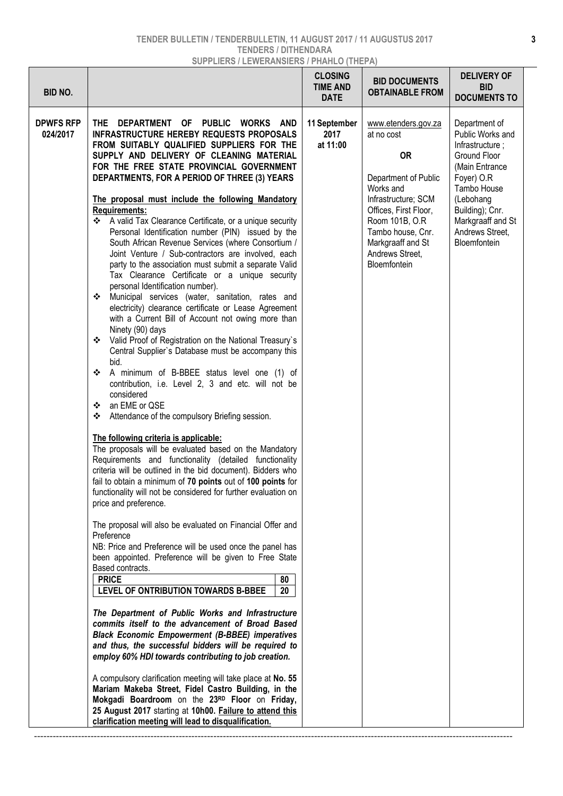#### TENDER BULLETIN / TENDERBULLETIN, 11 AUGUST 2017 / 11 AUGUSTUS 2017 TENDERS / DITHENDARA SUPPLIERS / LEWERANSIERS / PHAHLO (THEPA)

| BID NO.                      |                                                                                                                                                                                                                                                                                                                                                                                                                                                                                                                                                                                                                                                                                                                                                                                                                                                                                                                                                                                                                                                                                                                                                                                                                                                                                                                                                                                                                                                                                                                                                                                                                                                                                                                                                                                                                                                                                                                                                                                                                                                                                                                                                                                                                                                                                                                                                                                                                                                                                                                                    | <b>CLOSING</b><br><b>TIME AND</b><br><b>DATE</b> | <b>BID DOCUMENTS</b><br><b>OBTAINABLE FROM</b>                                                                                                                                                                                     | <b>DELIVERY OF</b><br><b>BID</b><br><b>DOCUMENTS TO</b>                                                                                                                                                     |
|------------------------------|------------------------------------------------------------------------------------------------------------------------------------------------------------------------------------------------------------------------------------------------------------------------------------------------------------------------------------------------------------------------------------------------------------------------------------------------------------------------------------------------------------------------------------------------------------------------------------------------------------------------------------------------------------------------------------------------------------------------------------------------------------------------------------------------------------------------------------------------------------------------------------------------------------------------------------------------------------------------------------------------------------------------------------------------------------------------------------------------------------------------------------------------------------------------------------------------------------------------------------------------------------------------------------------------------------------------------------------------------------------------------------------------------------------------------------------------------------------------------------------------------------------------------------------------------------------------------------------------------------------------------------------------------------------------------------------------------------------------------------------------------------------------------------------------------------------------------------------------------------------------------------------------------------------------------------------------------------------------------------------------------------------------------------------------------------------------------------------------------------------------------------------------------------------------------------------------------------------------------------------------------------------------------------------------------------------------------------------------------------------------------------------------------------------------------------------------------------------------------------------------------------------------------------|--------------------------------------------------|------------------------------------------------------------------------------------------------------------------------------------------------------------------------------------------------------------------------------------|-------------------------------------------------------------------------------------------------------------------------------------------------------------------------------------------------------------|
| <b>DPWFS RFP</b><br>024/2017 | DEPARTMENT OF PUBLIC<br>THE.<br>WORKS<br>AND<br><b>INFRASTRUCTURE HEREBY REQUESTS PROPOSALS</b><br>FROM SUITABLY QUALIFIED SUPPLIERS FOR THE<br>SUPPLY AND DELIVERY OF CLEANING MATERIAL<br>FOR THE FREE STATE PROVINCIAL GOVERNMENT<br>DEPARTMENTS, FOR A PERIOD OF THREE (3) YEARS<br>The proposal must include the following Mandatory<br>Requirements:<br>❖ A valid Tax Clearance Certificate, or a unique security<br>Personal Identification number (PIN) issued by the<br>South African Revenue Services (where Consortium /<br>Joint Venture / Sub-contractors are involved, each<br>party to the association must submit a separate Valid<br>Tax Clearance Certificate or a unique security<br>personal Identification number).<br>Municipal services (water, sanitation, rates and<br>❖<br>electricity) clearance certificate or Lease Agreement<br>with a Current Bill of Account not owing more than<br>Ninety (90) days<br>❖ Valid Proof of Registration on the National Treasury's<br>Central Supplier's Database must be accompany this<br>bid.<br>A minimum of B-BBEE status level one (1) of<br>❖<br>contribution, i.e. Level 2, 3 and etc. will not be<br>considered<br>an EME or QSE<br>❖<br>Attendance of the compulsory Briefing session.<br>❖<br>The following criteria is applicable:<br>The proposals will be evaluated based on the Mandatory<br>Requirements and functionality (detailed functionality<br>criteria will be outlined in the bid document). Bidders who<br>fail to obtain a minimum of 70 points out of 100 points for<br>functionality will not be considered for further evaluation on<br>price and preference.<br>The proposal will also be evaluated on Financial Offer and<br>Preference<br>NB: Price and Preference will be used once the panel has<br>been appointed. Preference will be given to Free State<br>Based contracts.<br><b>PRICE</b><br>80<br>LEVEL OF ONTRIBUTION TOWARDS B-BBEE<br>20<br>The Department of Public Works and Infrastructure<br>commits itself to the advancement of Broad Based<br><b>Black Economic Empowerment (B-BBEE) imperatives</b><br>and thus, the successful bidders will be required to<br>employ 60% HDI towards contributing to job creation.<br>A compulsory clarification meeting will take place at No. 55<br>Mariam Makeba Street, Fidel Castro Building, in the<br>Mokgadi Boardroom on the 23RD Floor on Friday,<br>25 August 2017 starting at 10h00. Failure to attend this<br>clarification meeting will lead to disqualification. | 11 September<br>2017<br>at 11:00                 | www.etenders.gov.za<br>at no cost<br><b>OR</b><br>Department of Public<br>Works and<br>Infrastructure; SCM<br>Offices, First Floor,<br>Room 101B, O.R<br>Tambo house, Cnr.<br>Markgraaff and St<br>Andrews Street,<br>Bloemfontein | Department of<br>Public Works and<br>Infrastructure;<br>Ground Floor<br>(Main Entrance<br>Foyer) O.R<br>Tambo House<br>(Lebohang<br>Building); Cnr.<br>Markgraaff and St<br>Andrews Street,<br>Bloemfontein |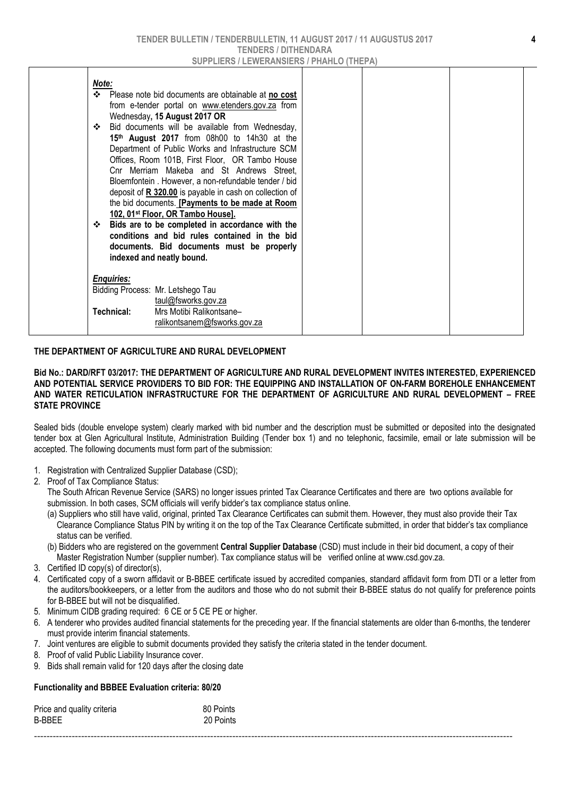| Note:<br>$\bullet$<br>Please note bid documents are obtainable at no cost<br>from e-tender portal on www.etenders.gov.za from<br>Wednesday, 15 August 2017 OR<br>Bid documents will be available from Wednesday,<br>❖<br>15 <sup>th</sup> August 2017 from 08h00 to 14h30 at the<br>Department of Public Works and Infrastructure SCM<br>Offices, Room 101B, First Floor, OR Tambo House<br>Cnr Merriam Makeba and St Andrews Street,<br>Bloemfontein. However, a non-refundable tender / bid<br>deposit of R 320.00 is payable in cash on collection of<br>the bid documents. [Payments to be made at Room<br>102, 01 <sup>st</sup> Floor, OR Tambo House].<br>Bids are to be completed in accordance with the<br>❖<br>conditions and bid rules contained in the bid<br>documents. Bid documents must be properly |  |
|--------------------------------------------------------------------------------------------------------------------------------------------------------------------------------------------------------------------------------------------------------------------------------------------------------------------------------------------------------------------------------------------------------------------------------------------------------------------------------------------------------------------------------------------------------------------------------------------------------------------------------------------------------------------------------------------------------------------------------------------------------------------------------------------------------------------|--|
| indexed and neatly bound.<br><b>Enquiries:</b>                                                                                                                                                                                                                                                                                                                                                                                                                                                                                                                                                                                                                                                                                                                                                                     |  |
| Bidding Process: Mr. Letshego Tau<br>taul@fsworks.gov.za                                                                                                                                                                                                                                                                                                                                                                                                                                                                                                                                                                                                                                                                                                                                                           |  |
| Mrs Motibi Ralikontsane-<br>Technical:<br>ralikontsanem@fsworks.gov.za                                                                                                                                                                                                                                                                                                                                                                                                                                                                                                                                                                                                                                                                                                                                             |  |

#### THE DEPARTMENT OF AGRICULTURE AND RURAL DEVELOPMENT

#### Bid No.: DARD/RFT 03/2017: THE DEPARTMENT OF AGRICULTURE AND RURAL DEVELOPMENT INVITES INTERESTED, EXPERIENCED AND POTENTIAL SERVICE PROVIDERS TO BID FOR: THE EQUIPPING AND INSTALLATION OF ON-FARM BOREHOLE ENHANCEMENT AND WATER RETICULATION INFRASTRUCTURE FOR THE DEPARTMENT OF AGRICULTURE AND RURAL DEVELOPMENT – FREE STATE PROVINCE

Sealed bids (double envelope system) clearly marked with bid number and the description must be submitted or deposited into the designated tender box at Glen Agricultural Institute, Administration Building (Tender box 1) and no telephonic, facsimile, email or late submission will be accepted. The following documents must form part of the submission:

- 1. Registration with Centralized Supplier Database (CSD);
- 2. Proof of Tax Compliance Status:

 The South African Revenue Service (SARS) no longer issues printed Tax Clearance Certificates and there are two options available for submission. In both cases, SCM officials will verify bidder's tax compliance status online.

- (a) Suppliers who still have valid, original, printed Tax Clearance Certificates can submit them. However, they must also provide their Tax Clearance Compliance Status PIN by writing it on the top of the Tax Clearance Certificate submitted, in order that bidder's tax compliance status can be verified.
- (b) Bidders who are registered on the government Central Supplier Database (CSD) must include in their bid document, a copy of their Master Registration Number (supplier number). Tax compliance status will be verified online at www.csd.gov.za.
- 3. Certified ID copy(s) of director(s),
- 4. Certificated copy of a sworn affidavit or B-BBEE certificate issued by accredited companies, standard affidavit form from DTI or a letter from the auditors/bookkeepers, or a letter from the auditors and those who do not submit their B-BBEE status do not qualify for preference points for B-BBEE but will not be disqualified.
- 5. Minimum CIDB grading required: 6 CE or 5 CE PE or higher.
- 6. A tenderer who provides audited financial statements for the preceding year. If the financial statements are older than 6-months, the tenderer must provide interim financial statements.
- 7. Joint ventures are eligible to submit documents provided they satisfy the criteria stated in the tender document.
- 8. Proof of valid Public Liability Insurance cover.
- 9. Bids shall remain valid for 120 days after the closing date

### Functionality and BBBEE Evaluation criteria: 80/20

| Price and quality criteria | 80 Points |  |
|----------------------------|-----------|--|
| B-BBEE                     | 20 Points |  |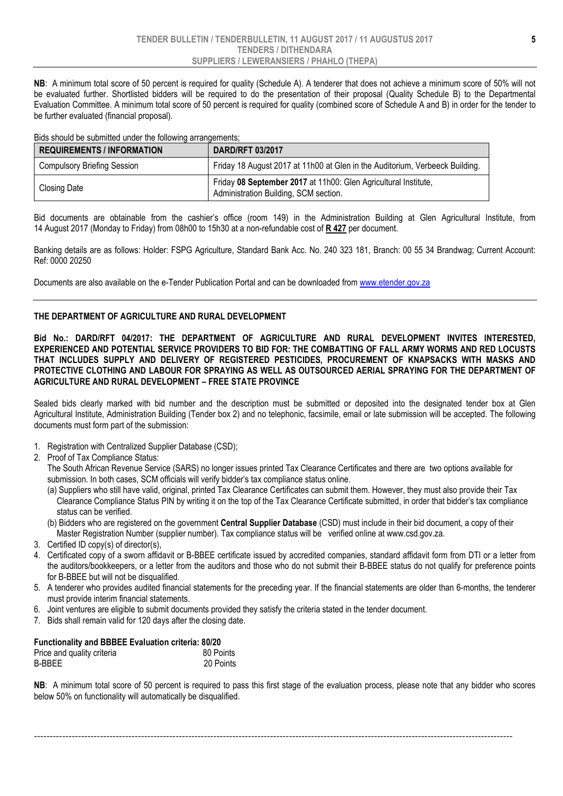NB: A minimum total score of 50 percent is required for quality (Schedule A). A tenderer that does not achieve a minimum score of 50% will not be evaluated further. Shortlisted bidders will be required to do the presentation of their proposal (Quality Schedule B) to the Departmental Evaluation Committee. A minimum total score of 50 percent is required for quality (combined score of Schedule A and B) in order for the tender to be further evaluated (financial proposal).

Bids should be submitted under the following arrangements;

| <b>REQUIREMENTS / INFORMATION</b>  | <b>DARD/RFT 03/2017</b>                                                                                  |  |  |
|------------------------------------|----------------------------------------------------------------------------------------------------------|--|--|
| <b>Compulsory Briefing Session</b> | Friday 18 August 2017 at 11h00 at Glen in the Auditorium, Verbeeck Building.                             |  |  |
| Closing Date                       | Friday 08 September 2017 at 11h00: Glen Agricultural Institute,<br>Administration Building, SCM section. |  |  |

Bid documents are obtainable from the cashier's office (room 149) in the Administration Building at Glen Agricultural Institute, from 14 August 2017 (Monday to Friday) from 08h00 to 15h30 at a non-refundable cost of R 427 per document.

Banking details are as follows: Holder: FSPG Agriculture, Standard Bank Acc. No. 240 323 181, Branch: 00 55 34 Brandwag; Current Account: Ref: 0000 20250

Documents are also available on the e-Tender Publication Portal and can be downloaded from www.etender.gov.za

#### THE DEPARTMENT OF AGRICULTURE AND RURAL DEVELOPMENT

Bid No.: DARD/RFT 04/2017: THE DEPARTMENT OF AGRICULTURE AND RURAL DEVELOPMENT INVITES INTERESTED, EXPERIENCED AND POTENTIAL SERVICE PROVIDERS TO BID FOR: THE COMBATTING OF FALL ARMY WORMS AND RED LOCUSTS THAT INCLUDES SUPPLY AND DELIVERY OF REGISTERED PESTICIDES, PROCUREMENT OF KNAPSACKS WITH MASKS AND PROTECTIVE CLOTHING AND LABOUR FOR SPRAYING AS WELL AS OUTSOURCED AERIAL SPRAYING FOR THE DEPARTMENT OF AGRICULTURE AND RURAL DEVELOPMENT – FREE STATE PROVINCE

Sealed bids clearly marked with bid number and the description must be submitted or deposited into the designated tender box at Glen Agricultural Institute, Administration Building (Tender box 2) and no telephonic, facsimile, email or late submission will be accepted. The following documents must form part of the submission:

- 1. Registration with Centralized Supplier Database (CSD);
- 2. Proof of Tax Compliance Status:

 The South African Revenue Service (SARS) no longer issues printed Tax Clearance Certificates and there are two options available for submission. In both cases, SCM officials will verify bidder's tax compliance status online.

- (a) Suppliers who still have valid, original, printed Tax Clearance Certificates can submit them. However, they must also provide their Tax Clearance Compliance Status PIN by writing it on the top of the Tax Clearance Certificate submitted, in order that bidder's tax compliance status can be verified.
- (b) Bidders who are registered on the government Central Supplier Database (CSD) must include in their bid document, a copy of their Master Registration Number (supplier number). Tax compliance status will be verified online at www.csd.gov.za.
- 3. Certified ID copy(s) of director(s),
- 4. Certificated copy of a sworn affidavit or B-BBEE certificate issued by accredited companies, standard affidavit form from DTI or a letter from the auditors/bookkeepers, or a letter from the auditors and those who do not submit their B-BBEE status do not qualify for preference points for B-BBEE but will not be disqualified.
- 5. A tenderer who provides audited financial statements for the preceding year. If the financial statements are older than 6-months, the tenderer must provide interim financial statements.
- 6. Joint ventures are eligible to submit documents provided they satisfy the criteria stated in the tender document.
- 7. Bids shall remain valid for 120 days after the closing date.

| <b>Functionality and BBBEE Evaluation criteria: 80/20</b> |           |
|-----------------------------------------------------------|-----------|
| Price and quality criteria                                | 80 Points |
| B-BBEE                                                    | 20 Points |

NB: A minimum total score of 50 percent is required to pass this first stage of the evaluation process, please note that any bidder who scores below 50% on functionality will automatically be disqualified.

--------------------------------------------------------------------------------------------------------------------------------------------------------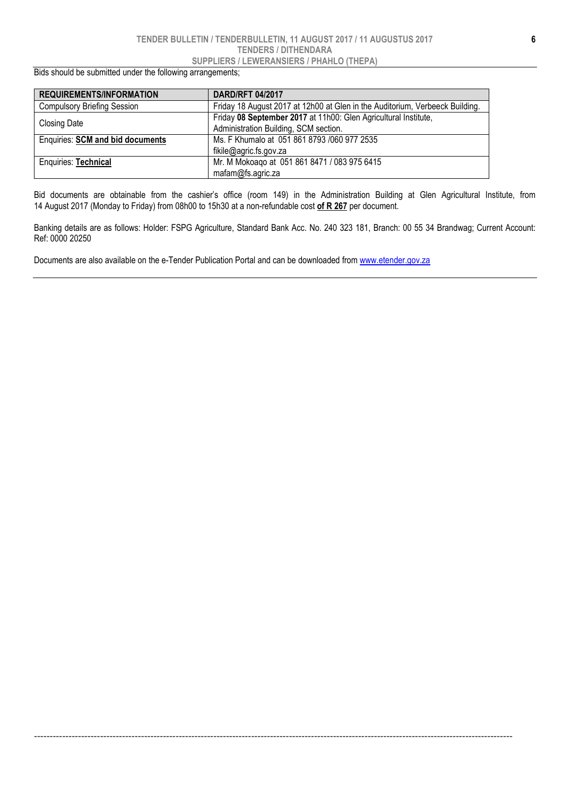#### TENDER BULLETIN / TENDERBULLETIN, 11 AUGUST 2017 / 11 AUGUSTUS 2017 TENDERS / DITHENDARA SUPPLIERS / LEWERANSIERS / PHAHLO (THEPA)

Bids should be submitted under the following arrangements;

| <b>REQUIREMENTS/INFORMATION</b>         | <b>DARD/RFT 04/2017</b>                                                      |
|-----------------------------------------|------------------------------------------------------------------------------|
| <b>Compulsory Briefing Session</b>      | Friday 18 August 2017 at 12h00 at Glen in the Auditorium, Verbeeck Building. |
|                                         | Friday 08 September 2017 at 11h00: Glen Agricultural Institute,              |
| <b>Closing Date</b>                     | Administration Building, SCM section.                                        |
| <b>Enquiries: SCM and bid documents</b> | Ms. F Khumalo at 051 861 8793 /060 977 2535                                  |
|                                         | fikile@agric.fs.gov.za                                                       |
| <b>Enquiries: Technical</b>             | Mr. M Mokoago at 051 861 8471 / 083 975 6415                                 |
|                                         | mafam@fs.agric.za                                                            |

Bid documents are obtainable from the cashier's office (room 149) in the Administration Building at Glen Agricultural Institute, from 14 August 2017 (Monday to Friday) from 08h00 to 15h30 at a non-refundable cost of R 267 per document.

Banking details are as follows: Holder: FSPG Agriculture, Standard Bank Acc. No. 240 323 181, Branch: 00 55 34 Brandwag; Current Account: Ref: 0000 20250

--------------------------------------------------------------------------------------------------------------------------------------------------------

Documents are also available on the e-Tender Publication Portal and can be downloaded from www.etender.gov.za